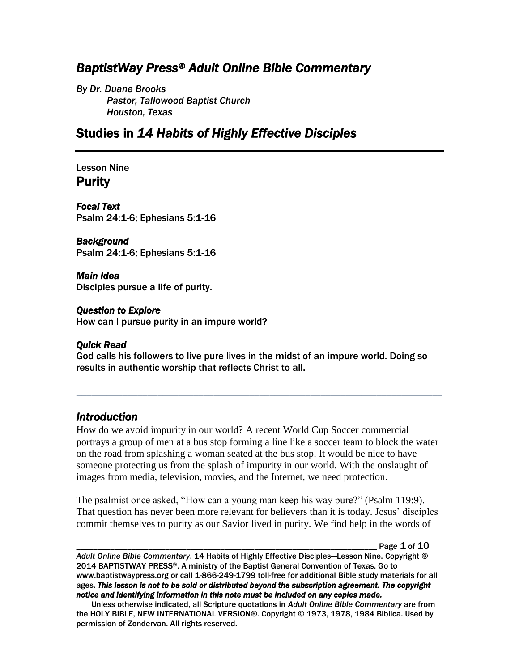# *BaptistWay Press® Adult Online Bible Commentary*

*By Dr. Duane Brooks Pastor, Tallowood Baptist Church Houston, Texas*

# Studies in *14 Habits of Highly Effective Disciples*

#### Lesson Nine Purity

*Focal Text*  Psalm 24:1-6; Ephesians 5:1-16

*Background*  Psalm 24:1-6; Ephesians 5:1-16

*Main Idea*  Disciples pursue a life of purity.

#### *Question to Explore*

How can I pursue purity in an impure world?

#### *Quick Read*

God calls his followers to live pure lives in the midst of an impure world. Doing so results in authentic worship that reflects Christ to all.

*\_\_\_\_\_\_\_\_\_\_\_\_\_\_\_\_\_\_\_\_\_\_\_\_\_\_\_\_\_\_\_\_\_\_\_\_\_\_\_\_\_\_\_\_\_\_\_\_\_\_\_\_\_\_\_\_\_\_\_\_\_\_\_\_\_\_\_\_\_\_\_\_*

#### *Introduction*

How do we avoid impurity in our world? A recent World Cup Soccer commercial portrays a group of men at a bus stop forming a line like a soccer team to block the water on the road from splashing a woman seated at the bus stop. It would be nice to have someone protecting us from the splash of impurity in our world. With the onslaught of images from media, television, movies, and the Internet, we need protection.

The psalmist once asked, "How can a young man keep his way pure?" (Psalm 119:9). That question has never been more relevant for believers than it is today. Jesus' disciples commit themselves to purity as our Savior lived in purity. We find help in the words of

Page  $1$  of  $10$ 

*Adult Online Bible Commentary*. 14 Habits of Highly Effective Disciples—Lesson Nine. Copyright © 2014 BAPTISTWAY PRESS®. A ministry of the Baptist General Convention of Texas. Go to www.baptistwaypress.org or call 1-866-249-1799 toll-free for additional Bible study materials for all ages. *This lesson is not to be sold or distributed beyond the subscription agreement. The copyright notice and identifying information in this note must be included on any copies made.* 

Unless otherwise indicated, all Scripture quotations in *Adult Online Bible Commentary* are from the HOLY BIBLE, NEW INTERNATIONAL VERSION®. Copyright © 1973, 1978, 1984 Biblica. Used by permission of Zondervan. All rights reserved.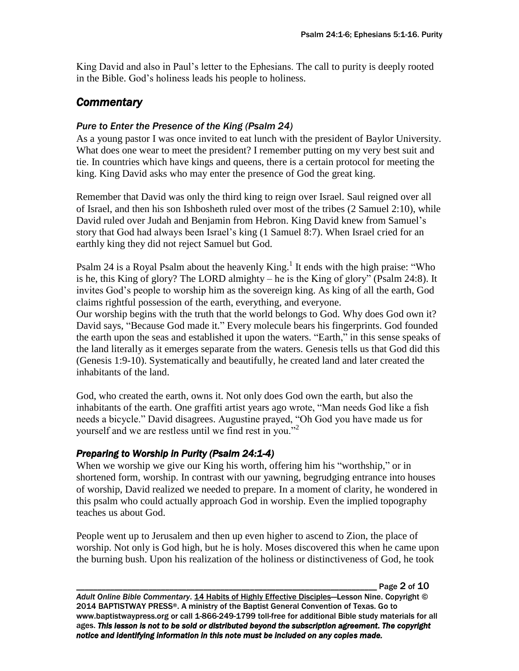King David and also in Paul's letter to the Ephesians. The call to purity is deeply rooted in the Bible. God's holiness leads his people to holiness.

## *Commentary*

#### *Pure to Enter the Presence of the King (Psalm 24)*

As a young pastor I was once invited to eat lunch with the president of Baylor University. What does one wear to meet the president? I remember putting on my very best suit and tie. In countries which have kings and queens, there is a certain protocol for meeting the king. King David asks who may enter the presence of God the great king.

Remember that David was only the third king to reign over Israel. Saul reigned over all of Israel, and then his son Ishbosheth ruled over most of the tribes (2 Samuel 2:10), while David ruled over Judah and Benjamin from Hebron. King David knew from Samuel's story that God had always been Israel's king (1 Samuel 8:7). When Israel cried for an earthly king they did not reject Samuel but God.

Psalm 24 is a Royal Psalm about the heavenly King.<sup>1</sup> It ends with the high praise: "Who is he, this King of glory? The LORD almighty – he is the King of glory" (Psalm 24:8). It invites God's people to worship him as the sovereign king. As king of all the earth, God claims rightful possession of the earth, everything, and everyone.

Our worship begins with the truth that the world belongs to God. Why does God own it? David says, "Because God made it." Every molecule bears his fingerprints. God founded the earth upon the seas and established it upon the waters. "Earth," in this sense speaks of the land literally as it emerges separate from the waters. Genesis tells us that God did this (Genesis 1:9-10). Systematically and beautifully, he created land and later created the inhabitants of the land.

God, who created the earth, owns it. Not only does God own the earth, but also the inhabitants of the earth. One graffiti artist years ago wrote, "Man needs God like a fish needs a bicycle." David disagrees. Augustine prayed, "Oh God you have made us for yourself and we are restless until we find rest in you."<sup>2</sup>

## *Preparing to Worship in Purity (Psalm 24:1-4)*

When we worship we give our King his worth, offering him his "worthship," or in shortened form, worship. In contrast with our yawning, begrudging entrance into houses of worship, David realized we needed to prepare. In a moment of clarity, he wondered in this psalm who could actually approach God in worship. Even the implied topography teaches us about God.

People went up to Jerusalem and then up even higher to ascend to Zion, the place of worship. Not only is God high, but he is holy. Moses discovered this when he came upon the burning bush. Upon his realization of the holiness or distinctiveness of God, he took

Page 2 of 10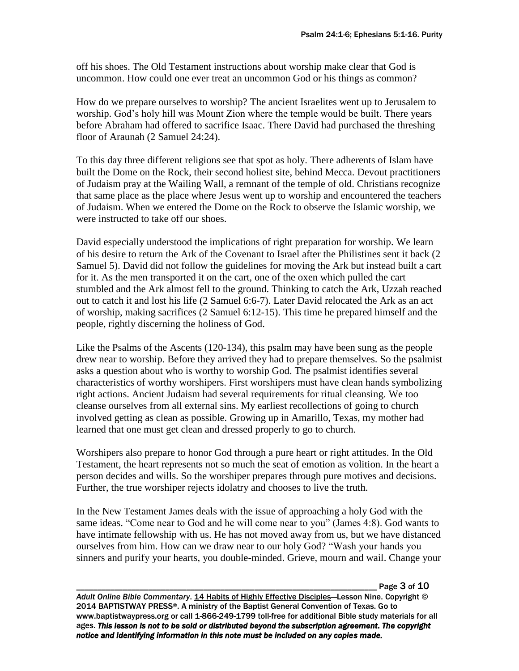off his shoes. The Old Testament instructions about worship make clear that God is uncommon. How could one ever treat an uncommon God or his things as common?

How do we prepare ourselves to worship? The ancient Israelites went up to Jerusalem to worship. God's holy hill was Mount Zion where the temple would be built. There years before Abraham had offered to sacrifice Isaac. There David had purchased the threshing floor of Araunah (2 Samuel 24:24).

To this day three different religions see that spot as holy. There adherents of Islam have built the Dome on the Rock, their second holiest site, behind Mecca. Devout practitioners of Judaism pray at the Wailing Wall, a remnant of the temple of old. Christians recognize that same place as the place where Jesus went up to worship and encountered the teachers of Judaism. When we entered the Dome on the Rock to observe the Islamic worship, we were instructed to take off our shoes.

David especially understood the implications of right preparation for worship. We learn of his desire to return the Ark of the Covenant to Israel after the Philistines sent it back (2 Samuel 5). David did not follow the guidelines for moving the Ark but instead built a cart for it. As the men transported it on the cart, one of the oxen which pulled the cart stumbled and the Ark almost fell to the ground. Thinking to catch the Ark, Uzzah reached out to catch it and lost his life (2 Samuel 6:6-7). Later David relocated the Ark as an act of worship, making sacrifices (2 Samuel 6:12-15). This time he prepared himself and the people, rightly discerning the holiness of God.

Like the Psalms of the Ascents (120-134), this psalm may have been sung as the people drew near to worship. Before they arrived they had to prepare themselves. So the psalmist asks a question about who is worthy to worship God. The psalmist identifies several characteristics of worthy worshipers. First worshipers must have clean hands symbolizing right actions. Ancient Judaism had several requirements for ritual cleansing. We too cleanse ourselves from all external sins. My earliest recollections of going to church involved getting as clean as possible. Growing up in Amarillo, Texas, my mother had learned that one must get clean and dressed properly to go to church.

Worshipers also prepare to honor God through a pure heart or right attitudes. In the Old Testament, the heart represents not so much the seat of emotion as volition. In the heart a person decides and wills. So the worshiper prepares through pure motives and decisions. Further, the true worshiper rejects idolatry and chooses to live the truth.

In the New Testament James deals with the issue of approaching a holy God with the same ideas. "Come near to God and he will come near to you" (James 4:8). God wants to have intimate fellowship with us. He has not moved away from us, but we have distanced ourselves from him. How can we draw near to our holy God? "Wash your hands you sinners and purify your hearts, you double-minded. Grieve, mourn and wail. Change your

Page 3 of 10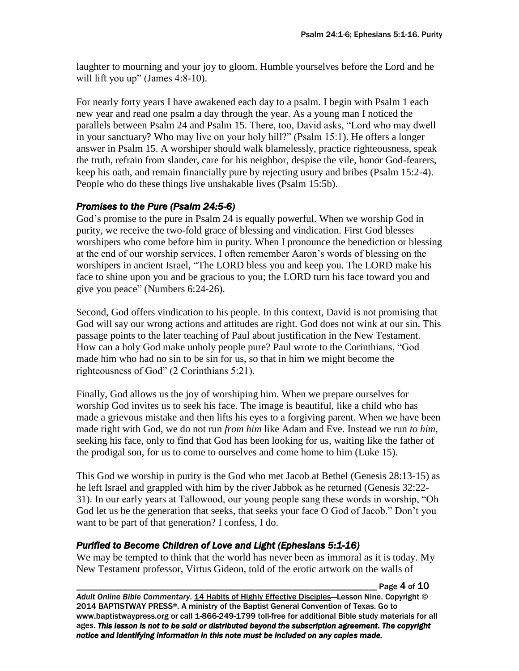laughter to mourning and your joy to gloom. Humble yourselves before the Lord and he will lift you up" (James 4:8-10).

For nearly forty years I have awakened each day to a psalm. I begin with Psalm 1 each new year and read one psalm a day through the year. As a young man I noticed the parallels between Psalm 24 and Psalm 15. There, too, David asks, "Lord who may dwell in your sanctuary? Who may live on your holy hill?" (Psalm 15:1). He offers a longer answer in Psalm 15. A worshiper should walk blamelessly, practice righteousness, speak the truth, refrain from slander, care for his neighbor, despise the vile, honor God-fearers, keep his oath, and remain financially pure by rejecting usury and bribes (Psalm 15:2-4). People who do these things live unshakable lives (Psalm 15:5b).

## *Promises to the Pure (Psalm 24:5-6)*

God's promise to the pure in Psalm 24 is equally powerful. When we worship God in purity, we receive the two-fold grace of blessing and vindication. First God blesses worshipers who come before him in purity. When I pronounce the benediction or blessing at the end of our worship services, I often remember Aaron's words of blessing on the worshipers in ancient Israel, "The LORD bless you and keep you. The LORD make his face to shine upon you and be gracious to you; the LORD turn his face toward you and give you peace" (Numbers 6:24-26).

Second, God offers vindication to his people. In this context, David is not promising that God will say our wrong actions and attitudes are right. God does not wink at our sin. This passage points to the later teaching of Paul about justification in the New Testament. How can a holy God make unholy people pure? Paul wrote to the Corinthians, "God made him who had no sin to be sin for us, so that in him we might become the righteousness of God" (2 Corinthians 5:21).

Finally, God allows us the joy of worshiping him. When we prepare ourselves for worship God invites us to seek his face. The image is beautiful, like a child who has made a grievous mistake and then lifts his eyes to a forgiving parent. When we have been made right with God, we do not run *from him* like Adam and Eve. Instead we run *to him*, seeking his face, only to find that God has been looking for us, waiting like the father of the prodigal son, for us to come to ourselves and come home to him (Luke 15).

This God we worship in purity is the God who met Jacob at Bethel (Genesis 28:13-15) as he left Israel and grappled with him by the river Jabbok as he returned (Genesis 32:22- 31). In our early years at Tallowood, our young people sang these words in worship, "Oh God let us be the generation that seeks, that seeks your face O God of Jacob." Don't you want to be part of that generation? I confess, I do.

## *Purified to Become Children of Love and Light (Ephesians 5:1-16)*

We may be tempted to think that the world has never been as immoral as it is today. My New Testament professor, Virtus Gideon, told of the erotic artwork on the walls of

Page 4 of 10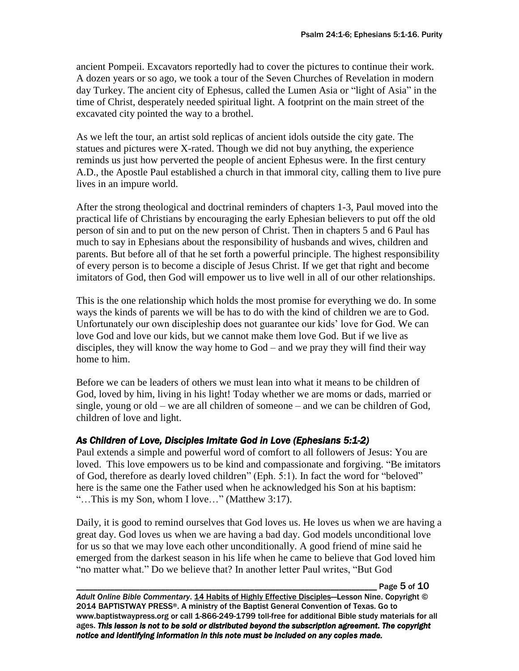ancient Pompeii. Excavators reportedly had to cover the pictures to continue their work. A dozen years or so ago, we took a tour of the Seven Churches of Revelation in modern day Turkey. The ancient city of Ephesus, called the Lumen Asia or "light of Asia" in the time of Christ, desperately needed spiritual light. A footprint on the main street of the excavated city pointed the way to a brothel.

As we left the tour, an artist sold replicas of ancient idols outside the city gate. The statues and pictures were X-rated. Though we did not buy anything, the experience reminds us just how perverted the people of ancient Ephesus were. In the first century A.D., the Apostle Paul established a church in that immoral city, calling them to live pure lives in an impure world.

After the strong theological and doctrinal reminders of chapters 1-3, Paul moved into the practical life of Christians by encouraging the early Ephesian believers to put off the old person of sin and to put on the new person of Christ. Then in chapters 5 and 6 Paul has much to say in Ephesians about the responsibility of husbands and wives, children and parents. But before all of that he set forth a powerful principle. The highest responsibility of every person is to become a disciple of Jesus Christ. If we get that right and become imitators of God, then God will empower us to live well in all of our other relationships.

This is the one relationship which holds the most promise for everything we do. In some ways the kinds of parents we will be has to do with the kind of children we are to God. Unfortunately our own discipleship does not guarantee our kids' love for God. We can love God and love our kids, but we cannot make them love God. But if we live as disciples, they will know the way home to God – and we pray they will find their way home to him.

Before we can be leaders of others we must lean into what it means to be children of God, loved by him, living in his light! Today whether we are moms or dads, married or single, young or old – we are all children of someone – and we can be children of God, children of love and light.

## *As Children of Love, Disciples Imitate God in Love (Ephesians 5:1-2)*

Paul extends a simple and powerful word of comfort to all followers of Jesus: You are loved. This love empowers us to be kind and compassionate and forgiving. "Be imitators of God, therefore as dearly loved children" (Eph. 5:1). In fact the word for "beloved" here is the same one the Father used when he acknowledged his Son at his baptism: "…This is my Son, whom I love…" (Matthew 3:17).

Daily, it is good to remind ourselves that God loves us. He loves us when we are having a great day. God loves us when we are having a bad day. God models unconditional love for us so that we may love each other unconditionally. A good friend of mine said he emerged from the darkest season in his life when he came to believe that God loved him "no matter what." Do we believe that? In another letter Paul writes, "But God

Page 5 of 10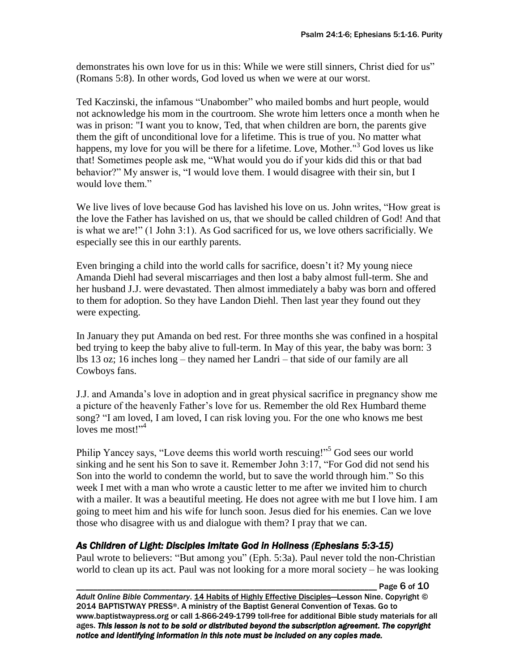demonstrates his own love for us in this: While we were still sinners, Christ died for us" (Romans 5:8). In other words, God loved us when we were at our worst.

Ted Kaczinski, the infamous "Unabomber" who mailed bombs and hurt people, would not acknowledge his mom in the courtroom. She wrote him letters once a month when he was in prison: "I want you to know, Ted, that when children are born, the parents give them the gift of unconditional love for a lifetime. This is true of you. No matter what happens, my love for you will be there for a lifetime. Love, Mother." $3$  God loves us like that! Sometimes people ask me, "What would you do if your kids did this or that bad behavior?" My answer is, "I would love them. I would disagree with their sin, but I would love them."

We live lives of love because God has lavished his love on us. John writes, "How great is the love the Father has lavished on us, that we should be called children of God! And that is what we are!" (1 John 3:1). As God sacrificed for us, we love others sacrificially. We especially see this in our earthly parents.

Even bringing a child into the world calls for sacrifice, doesn't it? My young niece Amanda Diehl had several miscarriages and then lost a baby almost full-term. She and her husband J.J. were devastated. Then almost immediately a baby was born and offered to them for adoption. So they have Landon Diehl. Then last year they found out they were expecting.

In January they put Amanda on bed rest. For three months she was confined in a hospital bed trying to keep the baby alive to full-term. In May of this year, the baby was born: 3 lbs 13 oz; 16 inches long – they named her Landri – that side of our family are all Cowboys fans.

J.J. and Amanda's love in adoption and in great physical sacrifice in pregnancy show me a picture of the heavenly Father's love for us. Remember the old Rex Humbard theme song? "I am loved, I am loved, I can risk loving you. For the one who knows me best loves me most!"<sup>4</sup>

Philip Yancey says, "Love deems this world worth rescuing!"<sup>5</sup> God sees our world sinking and he sent his Son to save it. Remember John 3:17, "For God did not send his Son into the world to condemn the world, but to save the world through him." So this week I met with a man who wrote a caustic letter to me after we invited him to church with a mailer. It was a beautiful meeting. He does not agree with me but I love him. I am going to meet him and his wife for lunch soon. Jesus died for his enemies. Can we love those who disagree with us and dialogue with them? I pray that we can.

## *As Children of Light: Disciples Imitate God in Holiness (Ephesians 5:3-15)*

Paul wrote to believers: "But among you" (Eph. 5:3a). Paul never told the non-Christian world to clean up its act. Paul was not looking for a more moral society – he was looking

Page 6 of 10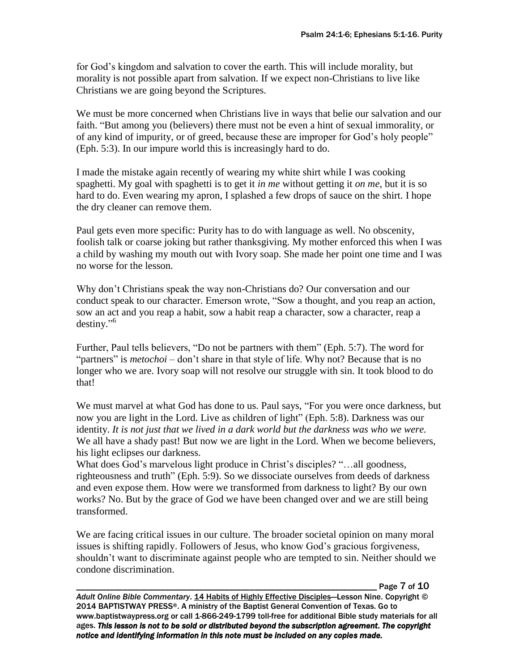for God's kingdom and salvation to cover the earth. This will include morality, but morality is not possible apart from salvation. If we expect non-Christians to live like Christians we are going beyond the Scriptures.

We must be more concerned when Christians live in ways that belie our salvation and our faith. "But among you (believers) there must not be even a hint of sexual immorality, or of any kind of impurity, or of greed, because these are improper for God's holy people" (Eph. 5:3). In our impure world this is increasingly hard to do.

I made the mistake again recently of wearing my white shirt while I was cooking spaghetti. My goal with spaghetti is to get it *in me* without getting it *on me*, but it is so hard to do. Even wearing my apron, I splashed a few drops of sauce on the shirt. I hope the dry cleaner can remove them.

Paul gets even more specific: Purity has to do with language as well. No obscenity, foolish talk or coarse joking but rather thanksgiving. My mother enforced this when I was a child by washing my mouth out with Ivory soap. She made her point one time and I was no worse for the lesson.

Why don't Christians speak the way non-Christians do? Our conversation and our conduct speak to our character. Emerson wrote, "Sow a thought, and you reap an action, sow an act and you reap a habit, sow a habit reap a character, sow a character, reap a destiny." 6

Further, Paul tells believers, "Do not be partners with them" (Eph. 5:7). The word for "partners" is *metochoi* – don't share in that style of life. Why not? Because that is no longer who we are. Ivory soap will not resolve our struggle with sin. It took blood to do that!

We must marvel at what God has done to us. Paul says, "For you were once darkness, but now you are light in the Lord. Live as children of light" (Eph. 5:8). Darkness was our identity. *It is not just that we lived in a dark world but the darkness was who we were.* We all have a shady past! But now we are light in the Lord. When we become believers, his light eclipses our darkness.

What does God's marvelous light produce in Christ's disciples? "…all goodness, righteousness and truth" (Eph. 5:9). So we dissociate ourselves from deeds of darkness and even expose them. How were we transformed from darkness to light? By our own works? No. But by the grace of God we have been changed over and we are still being transformed.

We are facing critical issues in our culture. The broader societal opinion on many moral issues is shifting rapidly. Followers of Jesus, who know God's gracious forgiveness, shouldn't want to discriminate against people who are tempted to sin. Neither should we condone discrimination.

Page 7 of 10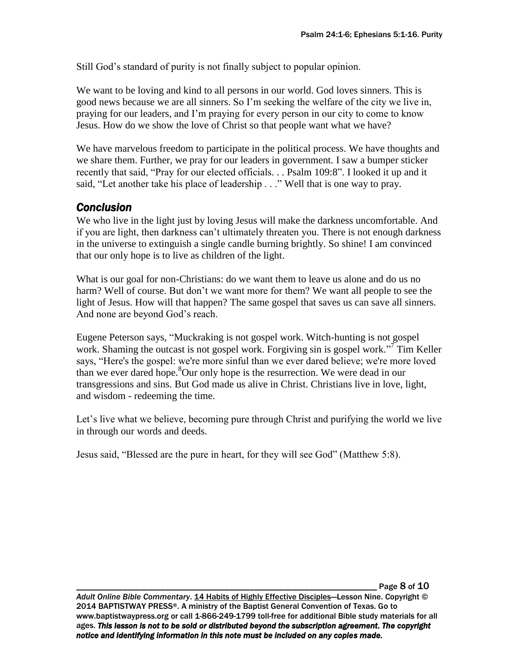Still God's standard of purity is not finally subject to popular opinion.

We want to be loving and kind to all persons in our world. God loves sinners. This is good news because we are all sinners. So I'm seeking the welfare of the city we live in, praying for our leaders, and I'm praying for every person in our city to come to know Jesus. How do we show the love of Christ so that people want what we have?

We have marvelous freedom to participate in the political process. We have thoughts and we share them. Further, we pray for our leaders in government. I saw a bumper sticker recently that said, "Pray for our elected officials. . . Psalm 109:8". I looked it up and it said, "Let another take his place of leadership . . ." Well that is one way to pray.

## *Conclusion*

We who live in the light just by loving Jesus will make the darkness uncomfortable. And if you are light, then darkness can't ultimately threaten you. There is not enough darkness in the universe to extinguish a single candle burning brightly. So shine! I am convinced that our only hope is to live as children of the light.

What is our goal for non-Christians: do we want them to leave us alone and do us no harm? Well of course. But don't we want more for them? We want all people to see the light of Jesus. How will that happen? The same gospel that saves us can save all sinners. And none are beyond God's reach.

Eugene Peterson says, "Muckraking is not gospel work. Witch-hunting is not gospel work. Shaming the outcast is not gospel work. Forgiving sin is gospel work."<sup>7</sup> Tim Keller says, "Here's the gospel: we're more sinful than we ever dared believe; we're more loved than we ever dared hope.<sup>8</sup>Our only hope is the resurrection. We were dead in our transgressions and sins. But God made us alive in Christ. Christians live in love, light, and wisdom - redeeming the time.

Let's live what we believe, becoming pure through Christ and purifying the world we live in through our words and deeds.

Jesus said, "Blessed are the pure in heart, for they will see God" (Matthew 5:8).

*Adult Online Bible Commentary*. 14 Habits of Highly Effective Disciples—Lesson Nine. Copyright © 2014 BAPTISTWAY PRESS®. A ministry of the Baptist General Convention of Texas. Go to www.baptistwaypress.org or call 1-866-249-1799 toll-free for additional Bible study materials for all ages. *This lesson is not to be sold or distributed beyond the subscription agreement. The copyright notice and identifying information in this note must be included on any copies made.*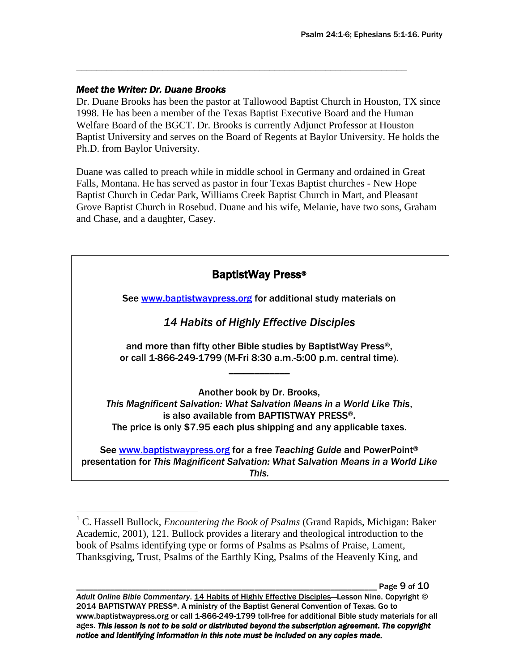#### *Meet the Writer: Dr. Duane Brooks*

 $\overline{a}$ 

Dr. Duane Brooks has been the pastor at Tallowood Baptist Church in Houston, TX since 1998. He has been a member of the Texas Baptist Executive Board and the Human Welfare Board of the BGCT. Dr. Brooks is currently Adjunct Professor at Houston Baptist University and serves on the Board of Regents at Baylor University. He holds the Ph.D. from Baylor University.

\_\_\_\_\_\_\_\_\_\_\_\_\_\_\_\_\_\_\_\_\_\_\_\_\_\_\_\_\_\_\_\_\_\_\_\_\_\_\_\_\_\_\_\_\_\_\_\_\_\_\_\_\_\_\_\_\_\_\_\_\_\_\_\_\_

Duane was called to preach while in middle school in Germany and ordained in Great Falls, Montana. He has served as pastor in four Texas Baptist churches - New Hope Baptist Church in Cedar Park, Williams Creek Baptist Church in Mart, and Pleasant Grove Baptist Church in Rosebud. Duane and his wife, Melanie, have two sons, Graham and Chase, and a daughter, Casey.

| <b>BaptistWay Press®</b>                                                                                                                                                                                                    |
|-----------------------------------------------------------------------------------------------------------------------------------------------------------------------------------------------------------------------------|
| See www.baptistwaypress.org for additional study materials on                                                                                                                                                               |
| 14 Habits of Highly Effective Disciples                                                                                                                                                                                     |
| and more than fifty other Bible studies by BaptistWay Press <sup>®</sup> ,<br>or call 1-866-249-1799 (M-Fri 8:30 a.m.-5:00 p.m. central time).                                                                              |
| Another book by Dr. Brooks,<br>This Magnificent Salvation: What Salvation Means in a World Like This,<br>is also available from BAPTISTWAY PRESS®.<br>The price is only \$7.95 each plus shipping and any applicable taxes. |
| See www.baptistwaypress.org for a free Teaching Guide and PowerPoint <sup>®</sup><br>presentation for This Magnificent Salvation: What Salvation Means in a World Like<br>This.                                             |

Page 9 of 10

<sup>&</sup>lt;sup>1</sup> C. Hassell Bullock, *Encountering the Book of Psalms* (Grand Rapids, Michigan: Baker Academic, 2001), 121. Bullock provides a literary and theological introduction to the book of Psalms identifying type or forms of Psalms as Psalms of Praise, Lament, Thanksgiving, Trust, Psalms of the Earthly King, Psalms of the Heavenly King, and

*Adult Online Bible Commentary*. 14 Habits of Highly Effective Disciples—Lesson Nine. Copyright © 2014 BAPTISTWAY PRESS®. A ministry of the Baptist General Convention of Texas. Go to www.baptistwaypress.org or call 1-866-249-1799 toll-free for additional Bible study materials for all ages. *This lesson is not to be sold or distributed beyond the subscription agreement. The copyright notice and identifying information in this note must be included on any copies made.*